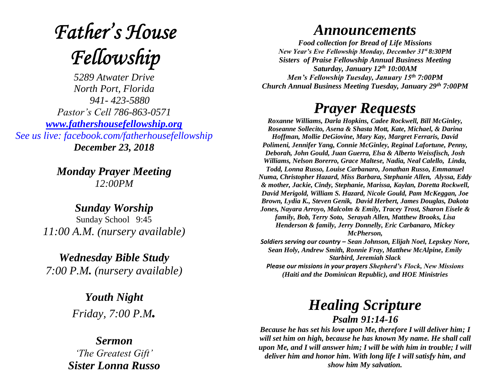# **Father's House** Fellowship

*5289 Atwater Drive North Port, Florida 941- 423-5880 Pastor's Cell 786-863-0571 [www.fathershousefellowship.org](http://www.fathershousefellowship.org/) See us live: facebook.com/fatherhousefellowship December 23, 2018*

> *Monday Prayer Meeting 12:00PM*

*Sunday Worship* Sunday School 9:45 *11:00 A.M. (nursery available)*

*Wednesday Bible Study 7:00 P.M. (nursery available)*

> *Youth Night Friday, 7:00 P.M.*

*Sermon 'The Greatest Gift' Sister Lonna Russo*

## *Announcements*

*Food collection for Bread of Life Missions New Year's Eve Fellowship Monday, December 31st 8:30PM Sisters of Praise Fellowship Annual Business Meeting Saturday, January 12th 10:00AM Men's Fellowship Tuesday, January 15th 7:00PM Church Annual Business Meeting Tuesday, January 29th 7:00PM*

# *Prayer Requests*

*Roxanne Williams, Darla Hopkins, Cadee Rockwell, Bill McGinley, Roseanne Sollecito, Asena & Shasta Mott, Kate, Michael, & Darina Hoffman, Mollie DeGiovine, Mary Kay, Margret Ferraris, David Polimeni, Jennifer Yang, Connie McGinley, Reginal Lafortune, Penny, Deborah, John Gould, Juan Guerra, Elsa & Alberto Weissfisch, Josh Williams, Nelson Borerro, Grace Maltese, Nadia, Neal Calello, Linda, Todd, Lonna Russo, Louise Carbanaro, Jonathan Russo, Emmanuel Numa, Christopher Hazard, Miss Barbara, Stephanie Allen, Alyssa, Eddy & mother, Jackie, Cindy, Stephanie, Marissa, Kaylan, Doretta Rockwell, David Merigold, William S. Hazard, Nicole Gould, Pam McKeggan, Joe Brown, Lydia K., Steven Genik, David Herbert, James Douglas, Dakota Jones, Nayara Arroyo, Malcolm & Emily, Tracey Trost, Sharon Eisele & family, Bob, Terry Soto, Serayah Allen, Matthew Brooks, Lisa Henderson & family, Jerry Donnelly, Eric Carbanaro, Mickey McPherson, Soldiers serving our country – Sean Johnson, Elijah Noel, Lepskey Nore, Sean Holy, Andrew Smith, Ronnie Fray, Matthew McAlpine, Emily Starbird, Jeremiah Slack*

*Please our missions in your prayers Shepherd's Flock, New Missions (Haiti and the Dominican Republic), and HOE Ministries*

### *Healing Scripture Psalm 91:14-16*

*Because he has set his love upon Me, therefore I will deliver him; I will set him on high, because he has known My name. He shall call upon Me, and I will answer him; I will be with him in trouble; I will deliver him and honor him. With long life I will satisfy him, and show him My salvation.*